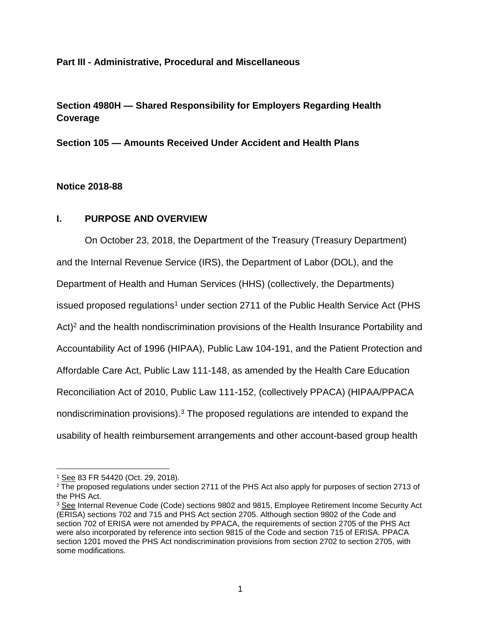### **Part III - Administrative, Procedural and Miscellaneous**

# **Section 4980H — Shared Responsibility for Employers Regarding Health Coverage**

**Section 105 — Amounts Received Under Accident and Health Plans**

### **Notice 2018-88**

# **I. PURPOSE AND OVERVIEW**

On October 23, 2018, the Department of the Treasury (Treasury Department) and the Internal Revenue Service (IRS), the Department of Labor (DOL), and the Department of Health and Human Services (HHS) (collectively, the Departments) issued proposed regulations<sup>1</sup> under section 2711 of the Public Health Service Act (PHS Act)<sup>2</sup> and the health nondiscrimination provisions of the Health Insurance Portability and Accountability Act of 1996 (HIPAA), Public Law 104-191, and the Patient Protection and Affordable Care Act, Public Law 111-148, as amended by the Health Care Education Reconciliation Act of 2010, Public Law 111-152, (collectively PPACA) (HIPAA/PPACA nondiscrimination provisions).<sup>3</sup> The proposed regulations are intended to expand the usability of health reimbursement arrangements and other account-based group health

<sup>1</sup> See 83 FR 54420 (Oct. 29, 2018).

<sup>&</sup>lt;sup>2</sup> The proposed regulations under section 2711 of the PHS Act also apply for purposes of section 2713 of the PHS Act.

<sup>3</sup> See Internal Revenue Code (Code) sections 9802 and 9815, Employee Retirement Income Security Act (ERISA) sections 702 and 715 and PHS Act section 2705. Although section 9802 of the Code and section 702 of ERISA were not amended by PPACA, the requirements of section 2705 of the PHS Act were also incorporated by reference into section 9815 of the Code and section 715 of ERISA. PPACA section 1201 moved the PHS Act nondiscrimination provisions from section 2702 to section 2705, with some modifications.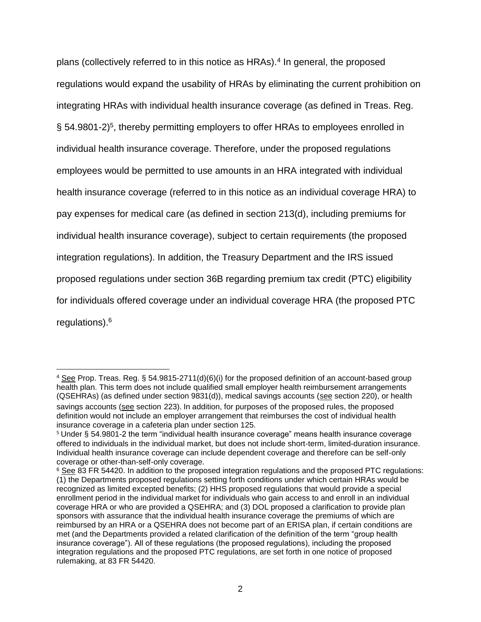plans (collectively referred to in this notice as HRAs).<sup>4</sup> In general, the proposed regulations would expand the usability of HRAs by eliminating the current prohibition on integrating HRAs with individual health insurance coverage (as defined in Treas. Reg. § 54.9801-2)<sup>5</sup>, thereby permitting employers to offer HRAs to employees enrolled in individual health insurance coverage. Therefore, under the proposed regulations employees would be permitted to use amounts in an HRA integrated with individual health insurance coverage (referred to in this notice as an individual coverage HRA) to pay expenses for medical care (as defined in section 213(d), including premiums for individual health insurance coverage), subject to certain requirements (the proposed integration regulations). In addition, the Treasury Department and the IRS issued proposed regulations under section 36B regarding premium tax credit (PTC) eligibility for individuals offered coverage under an individual coverage HRA (the proposed PTC regulations).<sup>6</sup>

 $\overline{\phantom{a}}$ <sup>4</sup> See Prop. Treas. Reg. § 54.9815-2711(d)(6)(i) for the proposed definition of an account-based group health plan. This term does not include qualified small employer health reimbursement arrangements (QSEHRAs) (as defined under section 9831(d)), medical savings accounts (see section 220), or health savings accounts (see section 223). In addition, for purposes of the proposed rules, the proposed definition would not include an employer arrangement that reimburses the cost of individual health insurance coverage in a cafeteria plan under section 125.

<sup>5</sup> Under § 54.9801-2 the term "individual health insurance coverage" means health insurance coverage offered to individuals in the individual market, but does not include short-term, limited-duration insurance. Individual health insurance coverage can include dependent coverage and therefore can be self-only coverage or other-than-self-only coverage.

<sup>&</sup>lt;sup>6</sup> See 83 FR 54420. In addition to the proposed integration regulations and the proposed PTC regulations: (1) the Departments proposed regulations setting forth conditions under which certain HRAs would be recognized as limited excepted benefits; (2) HHS proposed regulations that would provide a special enrollment period in the individual market for individuals who gain access to and enroll in an individual coverage HRA or who are provided a QSEHRA; and (3) DOL proposed a clarification to provide plan sponsors with assurance that the individual health insurance coverage the premiums of which are reimbursed by an HRA or a QSEHRA does not become part of an ERISA plan, if certain conditions are met (and the Departments provided a related clarification of the definition of the term "group health insurance coverage"). All of these regulations (the proposed regulations), including the proposed integration regulations and the proposed PTC regulations, are set forth in one notice of proposed rulemaking, at 83 FR 54420.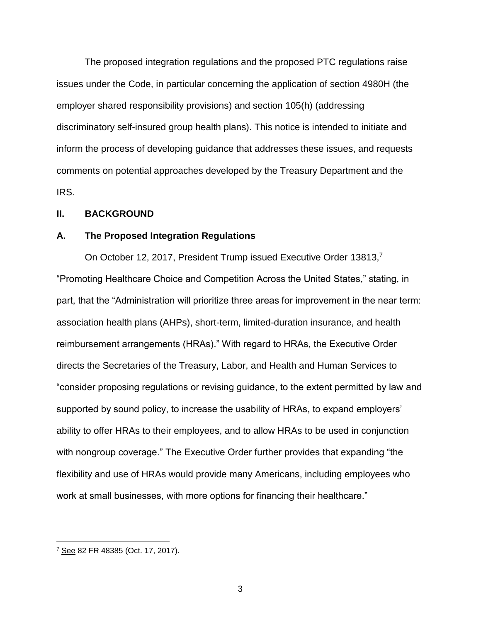The proposed integration regulations and the proposed PTC regulations raise issues under the Code, in particular concerning the application of section 4980H (the employer shared responsibility provisions) and section 105(h) (addressing discriminatory self-insured group health plans). This notice is intended to initiate and inform the process of developing guidance that addresses these issues, and requests comments on potential approaches developed by the Treasury Department and the IRS.

#### **II. BACKGROUND**

#### **A. The Proposed Integration Regulations**

On October 12, 2017, President Trump issued Executive Order 13813,7 "Promoting Healthcare Choice and Competition Across the United States," stating, in part, that the "Administration will prioritize three areas for improvement in the near term: association health plans (AHPs), short-term, limited-duration insurance, and health reimbursement arrangements (HRAs)." With regard to HRAs, the Executive Order directs the Secretaries of the Treasury, Labor, and Health and Human Services to "consider proposing regulations or revising guidance, to the extent permitted by law and supported by sound policy, to increase the usability of HRAs, to expand employers' ability to offer HRAs to their employees, and to allow HRAs to be used in conjunction with nongroup coverage." The Executive Order further provides that expanding "the flexibility and use of HRAs would provide many Americans, including employees who work at small businesses, with more options for financing their healthcare."

 $\overline{a}$ 

3

<sup>7</sup> See 82 FR 48385 (Oct. 17, 2017).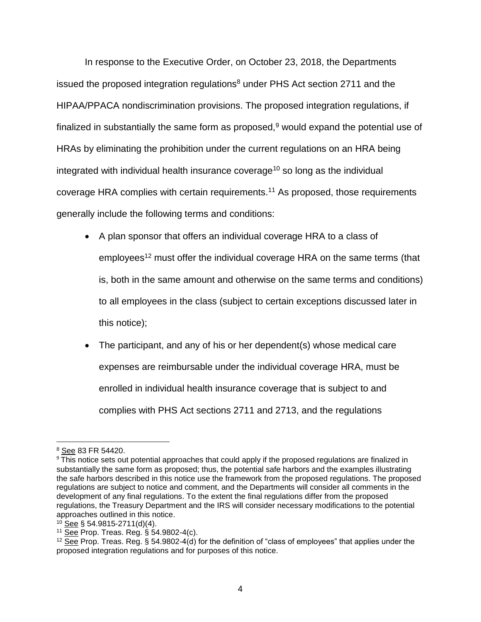In response to the Executive Order, on October 23, 2018, the Departments issued the proposed integration regulations $8$  under PHS Act section 2711 and the HIPAA/PPACA nondiscrimination provisions. The proposed integration regulations, if finalized in substantially the same form as proposed, $9$  would expand the potential use of HRAs by eliminating the prohibition under the current regulations on an HRA being integrated with individual health insurance coverage<sup>10</sup> so long as the individual coverage HRA complies with certain requirements.<sup>11</sup> As proposed, those requirements generally include the following terms and conditions:

- A plan sponsor that offers an individual coverage HRA to a class of employees<sup>12</sup> must offer the individual coverage HRA on the same terms (that is, both in the same amount and otherwise on the same terms and conditions) to all employees in the class (subject to certain exceptions discussed later in this notice);
- The participant, and any of his or her dependent(s) whose medical care expenses are reimbursable under the individual coverage HRA, must be enrolled in individual health insurance coverage that is subject to and complies with PHS Act sections 2711 and 2713, and the regulations

<sup>8</sup> See 83 FR 54420.

<sup>&</sup>lt;sup>9</sup> This notice sets out potential approaches that could apply if the proposed regulations are finalized in substantially the same form as proposed; thus, the potential safe harbors and the examples illustrating the safe harbors described in this notice use the framework from the proposed regulations. The proposed regulations are subject to notice and comment, and the Departments will consider all comments in the development of any final regulations. To the extent the final regulations differ from the proposed regulations, the Treasury Department and the IRS will consider necessary modifications to the potential approaches outlined in this notice.

 $10$  See § 54.9815-2711(d)(4).

<sup>11</sup> See Prop. Treas. Reg. § 54.9802-4(c).

 $12$  See Prop. Treas. Reg. § 54.9802-4(d) for the definition of "class of employees" that applies under the proposed integration regulations and for purposes of this notice.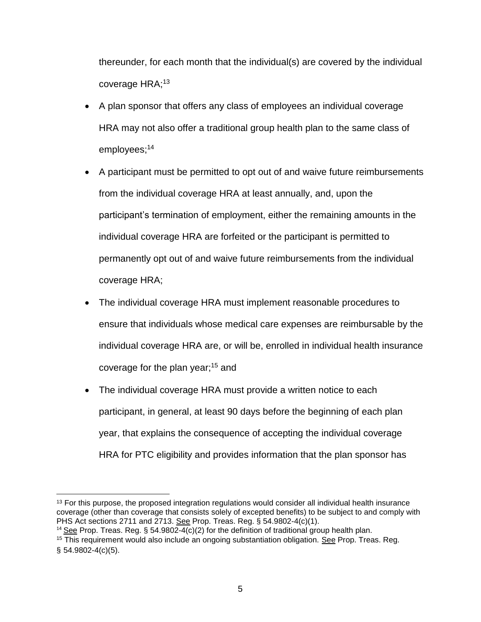thereunder, for each month that the individual(s) are covered by the individual coverage HRA;<sup>13</sup>

- A plan sponsor that offers any class of employees an individual coverage HRA may not also offer a traditional group health plan to the same class of employees;<sup>14</sup>
- A participant must be permitted to opt out of and waive future reimbursements from the individual coverage HRA at least annually, and, upon the participant's termination of employment, either the remaining amounts in the individual coverage HRA are forfeited or the participant is permitted to permanently opt out of and waive future reimbursements from the individual coverage HRA;
- The individual coverage HRA must implement reasonable procedures to ensure that individuals whose medical care expenses are reimbursable by the individual coverage HRA are, or will be, enrolled in individual health insurance coverage for the plan year;<sup>15</sup> and
- The individual coverage HRA must provide a written notice to each participant, in general, at least 90 days before the beginning of each plan year, that explains the consequence of accepting the individual coverage HRA for PTC eligibility and provides information that the plan sponsor has

<sup>14</sup> See Prop. Treas. Reg. § 54.9802-4(c)(2) for the definition of traditional group health plan.

 $\overline{\phantom{a}}$  $13$  For this purpose, the proposed integration regulations would consider all individual health insurance coverage (other than coverage that consists solely of excepted benefits) to be subject to and comply with PHS Act sections 2711 and 2713. See Prop. Treas. Reg. § 54.9802-4(c)(1).

<sup>&</sup>lt;sup>15</sup> This requirement would also include an ongoing substantiation obligation. See Prop. Treas. Reg.  $§ 54.9802-4(c)(5).$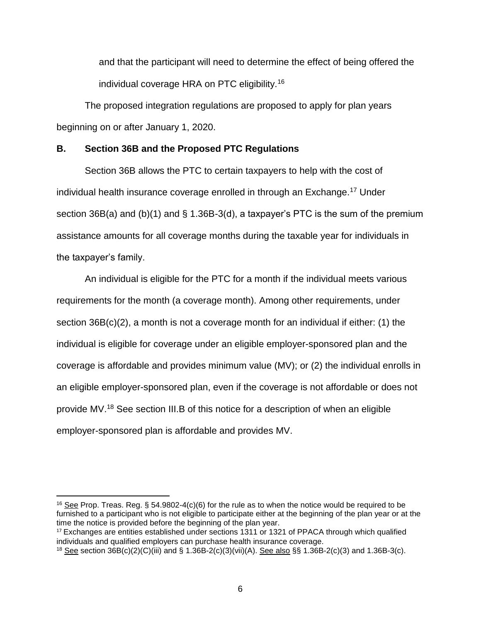and that the participant will need to determine the effect of being offered the individual coverage HRA on PTC eligibility.<sup>16</sup>

The proposed integration regulations are proposed to apply for plan years beginning on or after January 1, 2020.

### **B. Section 36B and the Proposed PTC Regulations**

Section 36B allows the PTC to certain taxpayers to help with the cost of individual health insurance coverage enrolled in through an Exchange.<sup>17</sup> Under section 36B(a) and (b)(1) and § 1.36B-3(d), a taxpayer's PTC is the sum of the premium assistance amounts for all coverage months during the taxable year for individuals in the taxpayer's family.

An individual is eligible for the PTC for a month if the individual meets various requirements for the month (a coverage month). Among other requirements, under section 36B(c)(2), a month is not a coverage month for an individual if either: (1) the individual is eligible for coverage under an eligible employer-sponsored plan and the coverage is affordable and provides minimum value (MV); or (2) the individual enrolls in an eligible employer-sponsored plan, even if the coverage is not affordable or does not provide MV.<sup>18</sup> See section III.B of this notice for a description of when an eligible employer-sponsored plan is affordable and provides MV.

 $16$  See Prop. Treas. Reg. § 54.9802-4(c)(6) for the rule as to when the notice would be required to be furnished to a participant who is not eligible to participate either at the beginning of the plan year or at the time the notice is provided before the beginning of the plan year.

<sup>&</sup>lt;sup>17</sup> Exchanges are entities established under sections 1311 or 1321 of PPACA through which qualified individuals and qualified employers can purchase health insurance coverage.

<sup>18</sup> See section 36B(c)(2)(C)(iii) and § 1.36B-2(c)(3)(vii)(A). See also §§ 1.36B-2(c)(3) and 1.36B-3(c).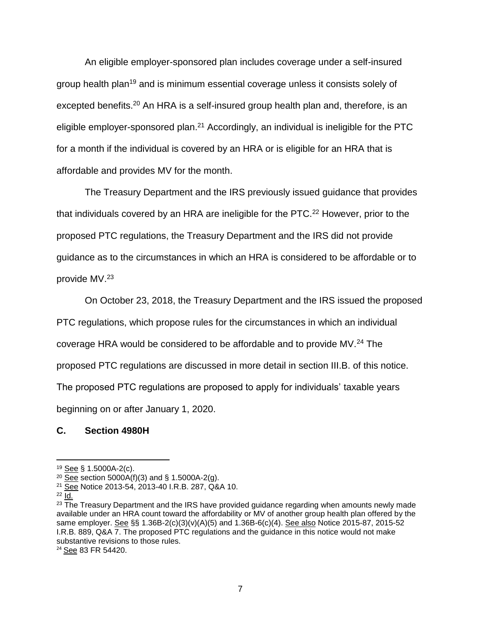An eligible employer-sponsored plan includes coverage under a self-insured group health plan<sup>19</sup> and is minimum essential coverage unless it consists solely of excepted benefits.<sup>20</sup> An HRA is a self-insured group health plan and, therefore, is an eligible employer-sponsored plan.<sup>21</sup> Accordingly, an individual is ineligible for the PTC for a month if the individual is covered by an HRA or is eligible for an HRA that is affordable and provides MV for the month.

The Treasury Department and the IRS previously issued guidance that provides that individuals covered by an HRA are ineligible for the PTC.<sup>22</sup> However, prior to the proposed PTC regulations, the Treasury Department and the IRS did not provide guidance as to the circumstances in which an HRA is considered to be affordable or to provide MV.<sup>23</sup>

On October 23, 2018, the Treasury Department and the IRS issued the proposed

PTC regulations, which propose rules for the circumstances in which an individual

coverage HRA would be considered to be affordable and to provide MV.<sup>24</sup> The

proposed PTC regulations are discussed in more detail in section III.B. of this notice.

The proposed PTC regulations are proposed to apply for individuals' taxable years

beginning on or after January 1, 2020.

# **C. Section 4980H**

 $\overline{a}$ 

<sup>&</sup>lt;sup>19</sup> See § 1.5000A-2(c).

 $20 \overline{See}$  section 5000A(f)(3) and § 1.5000A-2(g).

<sup>21</sup> See Notice 2013-54, 2013-40 I.R.B. 287, Q&A 10.

 $22$  Id.

 $23$  The Treasury Department and the IRS have provided guidance regarding when amounts newly made available under an HRA count toward the affordability or MV of another group health plan offered by the same employer. See §§ 1.36B-2(c)(3)(v)(A)(5) and 1.36B-6(c)(4). See also Notice 2015-87, 2015-52 I.R.B. 889, Q&A 7. The proposed PTC regulations and the guidance in this notice would not make substantive revisions to those rules.

<sup>24</sup> See 83 FR 54420.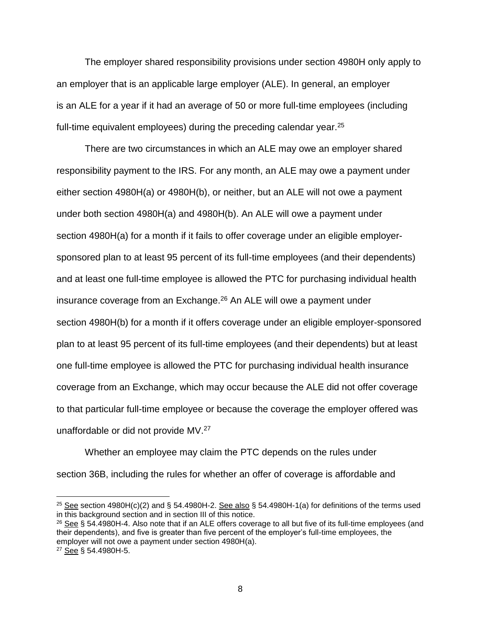The employer shared responsibility provisions under section 4980H only apply to an employer that is an applicable large employer (ALE). In general, an employer is an ALE for a year if it had an average of 50 or more full-time employees (including full-time equivalent employees) during the preceding calendar year. $25$ 

There are two circumstances in which an ALE may owe an employer shared responsibility payment to the IRS. For any month, an ALE may owe a payment under either section 4980H(a) or 4980H(b), or neither, but an ALE will not owe a payment under both section 4980H(a) and 4980H(b). An ALE will owe a payment under section 4980H(a) for a month if it fails to offer coverage under an eligible employersponsored plan to at least 95 percent of its full-time employees (and their dependents) and at least one full-time employee is allowed the PTC for purchasing individual health insurance coverage from an Exchange.<sup>26</sup> An ALE will owe a payment under section 4980H(b) for a month if it offers coverage under an eligible employer-sponsored plan to at least 95 percent of its full-time employees (and their dependents) but at least one full-time employee is allowed the PTC for purchasing individual health insurance coverage from an Exchange, which may occur because the ALE did not offer coverage to that particular full-time employee or because the coverage the employer offered was unaffordable or did not provide MV.<sup>27</sup>

Whether an employee may claim the PTC depends on the rules under section 36B, including the rules for whether an offer of coverage is affordable and

<sup>&</sup>lt;sup>25</sup> See section 4980H(c)(2) and § 54.4980H-2. See also § 54.4980H-1(a) for definitions of the terms used in this background section and in section III of this notice.

<sup>26</sup> See § 54.4980H-4. Also note that if an ALE offers coverage to all but five of its full-time employees (and their dependents), and five is greater than five percent of the employer's full-time employees, the employer will not owe a payment under section 4980H(a).

<sup>27</sup> See § 54.4980H-5.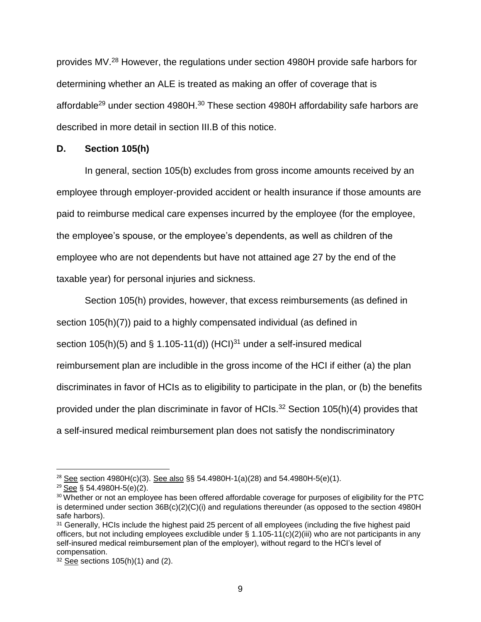provides MV.<sup>28</sup> However, the regulations under section 4980H provide safe harbors for determining whether an ALE is treated as making an offer of coverage that is affordable<sup>29</sup> under section 4980H.<sup>30</sup> These section 4980H affordability safe harbors are described in more detail in section III.B of this notice.

### **D. Section 105(h)**

In general, section 105(b) excludes from gross income amounts received by an employee through employer-provided accident or health insurance if those amounts are paid to reimburse medical care expenses incurred by the employee (for the employee, the employee's spouse, or the employee's dependents, as well as children of the employee who are not dependents but have not attained age 27 by the end of the taxable year) for personal injuries and sickness.

Section 105(h) provides, however, that excess reimbursements (as defined in section 105(h)(7)) paid to a highly compensated individual (as defined in section 105(h)(5) and § 1.105-11(d)) (HCI) $31$  under a self-insured medical reimbursement plan are includible in the gross income of the HCI if either (a) the plan discriminates in favor of HCIs as to eligibility to participate in the plan, or (b) the benefits provided under the plan discriminate in favor of HCIs.<sup>32</sup> Section 105(h)(4) provides that a self-insured medical reimbursement plan does not satisfy the nondiscriminatory

 $\overline{a}$ 

<sup>&</sup>lt;sup>28</sup> See section 4980H(c)(3). See also §§ 54.4980H-1(a)(28) and 54.4980H-5(e)(1).

<sup>29</sup> See § 54.4980H-5(e)(2).

<sup>&</sup>lt;sup>30</sup> Whether or not an employee has been offered affordable coverage for purposes of eligibility for the PTC is determined under section 36B(c)(2)(C)(i) and regulations thereunder (as opposed to the section 4980H safe harbors).

<sup>&</sup>lt;sup>31</sup> Generally, HCIs include the highest paid 25 percent of all employees (including the five highest paid officers, but not including employees excludible under § 1.105-11(c)(2)(iii) who are not participants in any self-insured medical reimbursement plan of the employer), without regard to the HCI's level of compensation.

 $32$  See sections 105(h)(1) and (2).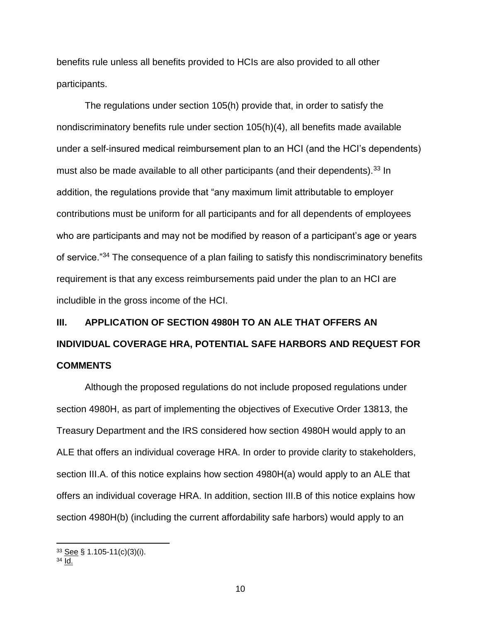benefits rule unless all benefits provided to HCIs are also provided to all other participants.

The regulations under section 105(h) provide that, in order to satisfy the nondiscriminatory benefits rule under section 105(h)(4), all benefits made available under a self-insured medical reimbursement plan to an HCI (and the HCI's dependents) must also be made available to all other participants (and their dependents).<sup>33</sup> In addition, the regulations provide that "any maximum limit attributable to employer contributions must be uniform for all participants and for all dependents of employees who are participants and may not be modified by reason of a participant's age or years of service."<sup>34</sup> The consequence of a plan failing to satisfy this nondiscriminatory benefits requirement is that any excess reimbursements paid under the plan to an HCI are includible in the gross income of the HCI.

# **III. APPLICATION OF SECTION 4980H TO AN ALE THAT OFFERS AN INDIVIDUAL COVERAGE HRA, POTENTIAL SAFE HARBORS AND REQUEST FOR COMMENTS**

Although the proposed regulations do not include proposed regulations under section 4980H, as part of implementing the objectives of Executive Order 13813, the Treasury Department and the IRS considered how section 4980H would apply to an ALE that offers an individual coverage HRA. In order to provide clarity to stakeholders, section III.A. of this notice explains how section 4980H(a) would apply to an ALE that offers an individual coverage HRA. In addition, section III.B of this notice explains how section 4980H(b) (including the current affordability safe harbors) would apply to an

<sup>34</sup> Id.

 $\overline{a}$ 

 $33$  See § 1.105-11(c)(3)(i).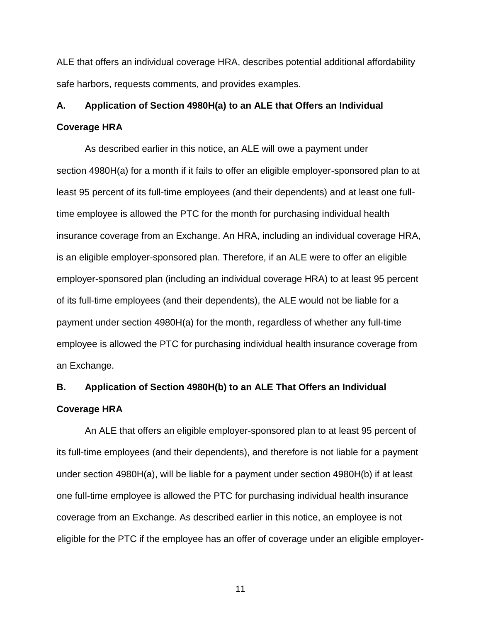ALE that offers an individual coverage HRA, describes potential additional affordability safe harbors, requests comments, and provides examples.

# **A. Application of Section 4980H(a) to an ALE that Offers an Individual Coverage HRA**

As described earlier in this notice, an ALE will owe a payment under section 4980H(a) for a month if it fails to offer an eligible employer-sponsored plan to at least 95 percent of its full-time employees (and their dependents) and at least one fulltime employee is allowed the PTC for the month for purchasing individual health insurance coverage from an Exchange. An HRA, including an individual coverage HRA, is an eligible employer-sponsored plan. Therefore, if an ALE were to offer an eligible employer-sponsored plan (including an individual coverage HRA) to at least 95 percent of its full-time employees (and their dependents), the ALE would not be liable for a payment under section 4980H(a) for the month, regardless of whether any full-time employee is allowed the PTC for purchasing individual health insurance coverage from an Exchange.

# **B. Application of Section 4980H(b) to an ALE That Offers an Individual Coverage HRA**

An ALE that offers an eligible employer-sponsored plan to at least 95 percent of its full-time employees (and their dependents), and therefore is not liable for a payment under section 4980H(a), will be liable for a payment under section 4980H(b) if at least one full-time employee is allowed the PTC for purchasing individual health insurance coverage from an Exchange. As described earlier in this notice, an employee is not eligible for the PTC if the employee has an offer of coverage under an eligible employer-

11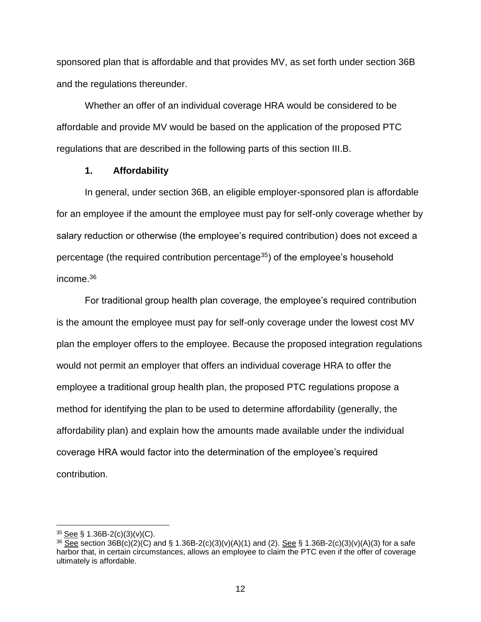sponsored plan that is affordable and that provides MV, as set forth under section 36B and the regulations thereunder.

Whether an offer of an individual coverage HRA would be considered to be affordable and provide MV would be based on the application of the proposed PTC regulations that are described in the following parts of this section III.B.

### **1. Affordability**

In general, under section 36B, an eligible employer-sponsored plan is affordable for an employee if the amount the employee must pay for self-only coverage whether by salary reduction or otherwise (the employee's required contribution) does not exceed a percentage (the required contribution percentage $35$ ) of the employee's household income.<sup>36</sup>

For traditional group health plan coverage, the employee's required contribution is the amount the employee must pay for self-only coverage under the lowest cost MV plan the employer offers to the employee. Because the proposed integration regulations would not permit an employer that offers an individual coverage HRA to offer the employee a traditional group health plan, the proposed PTC regulations propose a method for identifying the plan to be used to determine affordability (generally, the affordability plan) and explain how the amounts made available under the individual coverage HRA would factor into the determination of the employee's required contribution.

 $\overline{a}$ 

<sup>&</sup>lt;sup>35</sup> <u>See</u> § 1.36B-2(c)(3)(v)(C).

 $36$  See section 36B(c)(2)(C) and § 1.36B-2(c)(3)(v)(A)(1) and (2). See § 1.36B-2(c)(3)(v)(A)(3) for a safe harbor that, in certain circumstances, allows an employee to claim the PTC even if the offer of coverage ultimately is affordable.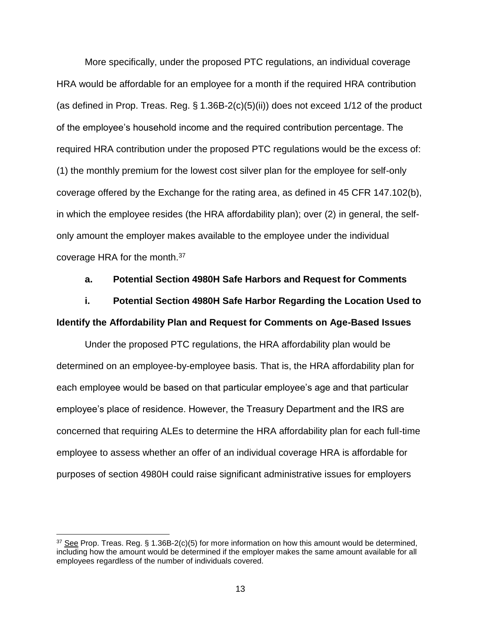More specifically, under the proposed PTC regulations, an individual coverage HRA would be affordable for an employee for a month if the required HRA contribution (as defined in Prop. Treas. Reg. § 1.36B-2(c)(5)(ii)) does not exceed 1/12 of the product of the employee's household income and the required contribution percentage. The required HRA contribution under the proposed PTC regulations would be the excess of: (1) the monthly premium for the lowest cost silver plan for the employee for self-only coverage offered by the Exchange for the rating area, as defined in 45 CFR 147.102(b), in which the employee resides (the HRA affordability plan); over (2) in general, the selfonly amount the employer makes available to the employee under the individual coverage HRA for the month.<sup>37</sup>

#### **a. Potential Section 4980H Safe Harbors and Request for Comments**

# **i. Potential Section 4980H Safe Harbor Regarding the Location Used to Identify the Affordability Plan and Request for Comments on Age-Based Issues**

Under the proposed PTC regulations, the HRA affordability plan would be determined on an employee-by-employee basis. That is, the HRA affordability plan for each employee would be based on that particular employee's age and that particular employee's place of residence. However, the Treasury Department and the IRS are concerned that requiring ALEs to determine the HRA affordability plan for each full-time employee to assess whether an offer of an individual coverage HRA is affordable for purposes of section 4980H could raise significant administrative issues for employers

<sup>37</sup> See Prop. Treas. Reg. § 1.36B-2(c)(5) for more information on how this amount would be determined, including how the amount would be determined if the employer makes the same amount available for all employees regardless of the number of individuals covered.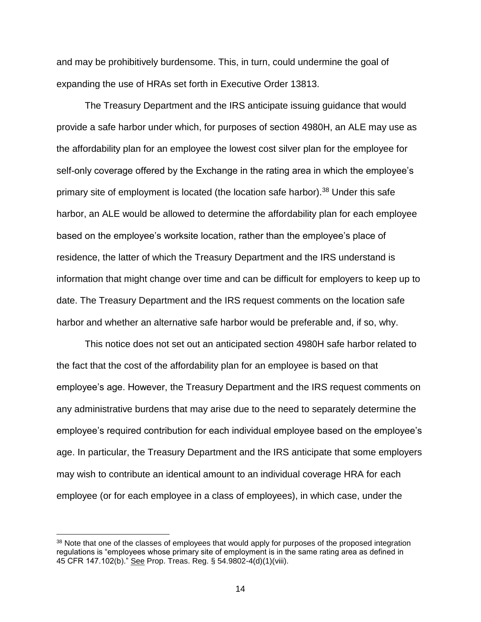and may be prohibitively burdensome. This, in turn, could undermine the goal of expanding the use of HRAs set forth in Executive Order 13813.

The Treasury Department and the IRS anticipate issuing guidance that would provide a safe harbor under which, for purposes of section 4980H, an ALE may use as the affordability plan for an employee the lowest cost silver plan for the employee for self-only coverage offered by the Exchange in the rating area in which the employee's primary site of employment is located (the location safe harbor).<sup>38</sup> Under this safe harbor, an ALE would be allowed to determine the affordability plan for each employee based on the employee's worksite location, rather than the employee's place of residence, the latter of which the Treasury Department and the IRS understand is information that might change over time and can be difficult for employers to keep up to date. The Treasury Department and the IRS request comments on the location safe harbor and whether an alternative safe harbor would be preferable and, if so, why.

This notice does not set out an anticipated section 4980H safe harbor related to the fact that the cost of the affordability plan for an employee is based on that employee's age. However, the Treasury Department and the IRS request comments on any administrative burdens that may arise due to the need to separately determine the employee's required contribution for each individual employee based on the employee's age. In particular, the Treasury Department and the IRS anticipate that some employers may wish to contribute an identical amount to an individual coverage HRA for each employee (or for each employee in a class of employees), in which case, under the

<sup>&</sup>lt;sup>38</sup> Note that one of the classes of employees that would apply for purposes of the proposed integration regulations is "employees whose primary site of employment is in the same rating area as defined in 45 CFR 147.102(b)." See Prop. Treas. Reg. § 54.9802-4(d)(1)(viii).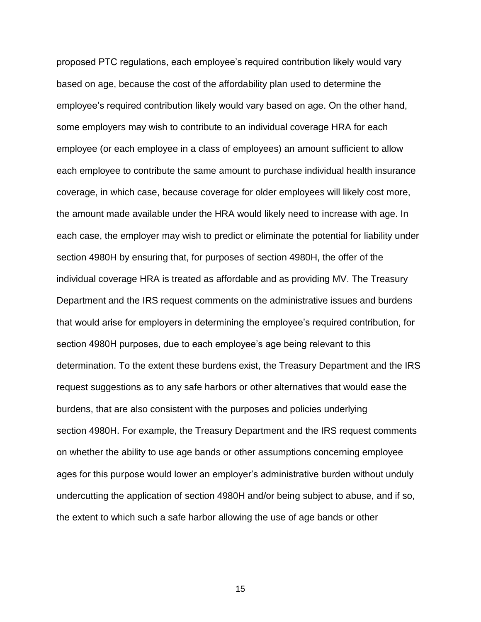proposed PTC regulations, each employee's required contribution likely would vary based on age, because the cost of the affordability plan used to determine the employee's required contribution likely would vary based on age. On the other hand, some employers may wish to contribute to an individual coverage HRA for each employee (or each employee in a class of employees) an amount sufficient to allow each employee to contribute the same amount to purchase individual health insurance coverage, in which case, because coverage for older employees will likely cost more, the amount made available under the HRA would likely need to increase with age. In each case, the employer may wish to predict or eliminate the potential for liability under section 4980H by ensuring that, for purposes of section 4980H, the offer of the individual coverage HRA is treated as affordable and as providing MV. The Treasury Department and the IRS request comments on the administrative issues and burdens that would arise for employers in determining the employee's required contribution, for section 4980H purposes, due to each employee's age being relevant to this determination. To the extent these burdens exist, the Treasury Department and the IRS request suggestions as to any safe harbors or other alternatives that would ease the burdens, that are also consistent with the purposes and policies underlying section 4980H. For example, the Treasury Department and the IRS request comments on whether the ability to use age bands or other assumptions concerning employee ages for this purpose would lower an employer's administrative burden without unduly undercutting the application of section 4980H and/or being subject to abuse, and if so, the extent to which such a safe harbor allowing the use of age bands or other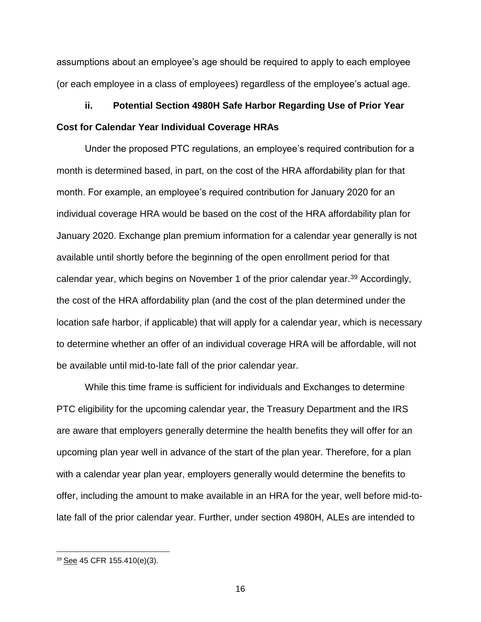assumptions about an employee's age should be required to apply to each employee (or each employee in a class of employees) regardless of the employee's actual age.

# **ii. Potential Section 4980H Safe Harbor Regarding Use of Prior Year Cost for Calendar Year Individual Coverage HRAs**

Under the proposed PTC regulations, an employee's required contribution for a month is determined based, in part, on the cost of the HRA affordability plan for that month. For example, an employee's required contribution for January 2020 for an individual coverage HRA would be based on the cost of the HRA affordability plan for January 2020. Exchange plan premium information for a calendar year generally is not available until shortly before the beginning of the open enrollment period for that calendar year, which begins on November 1 of the prior calendar year.<sup>39</sup> Accordingly, the cost of the HRA affordability plan (and the cost of the plan determined under the location safe harbor, if applicable) that will apply for a calendar year, which is necessary to determine whether an offer of an individual coverage HRA will be affordable, will not be available until mid-to-late fall of the prior calendar year.

While this time frame is sufficient for individuals and Exchanges to determine PTC eligibility for the upcoming calendar year, the Treasury Department and the IRS are aware that employers generally determine the health benefits they will offer for an upcoming plan year well in advance of the start of the plan year. Therefore, for a plan with a calendar year plan year, employers generally would determine the benefits to offer, including the amount to make available in an HRA for the year, well before mid-tolate fall of the prior calendar year. Further, under section 4980H, ALEs are intended to

<sup>39</sup> See 45 CFR 155.410(e)(3).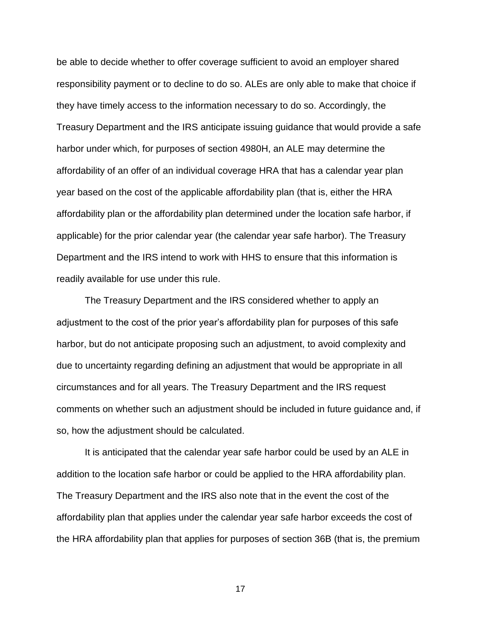be able to decide whether to offer coverage sufficient to avoid an employer shared responsibility payment or to decline to do so. ALEs are only able to make that choice if they have timely access to the information necessary to do so. Accordingly, the Treasury Department and the IRS anticipate issuing guidance that would provide a safe harbor under which, for purposes of section 4980H, an ALE may determine the affordability of an offer of an individual coverage HRA that has a calendar year plan year based on the cost of the applicable affordability plan (that is, either the HRA affordability plan or the affordability plan determined under the location safe harbor, if applicable) for the prior calendar year (the calendar year safe harbor). The Treasury Department and the IRS intend to work with HHS to ensure that this information is readily available for use under this rule.

The Treasury Department and the IRS considered whether to apply an adjustment to the cost of the prior year's affordability plan for purposes of this safe harbor, but do not anticipate proposing such an adjustment, to avoid complexity and due to uncertainty regarding defining an adjustment that would be appropriate in all circumstances and for all years. The Treasury Department and the IRS request comments on whether such an adjustment should be included in future guidance and, if so, how the adjustment should be calculated.

It is anticipated that the calendar year safe harbor could be used by an ALE in addition to the location safe harbor or could be applied to the HRA affordability plan. The Treasury Department and the IRS also note that in the event the cost of the affordability plan that applies under the calendar year safe harbor exceeds the cost of the HRA affordability plan that applies for purposes of section 36B (that is, the premium

17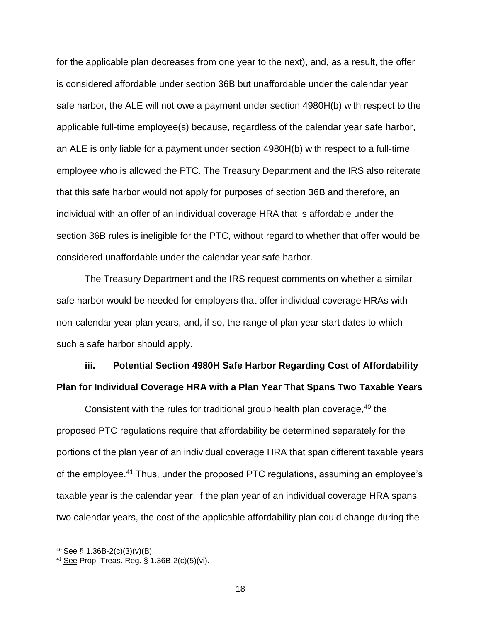for the applicable plan decreases from one year to the next), and, as a result, the offer is considered affordable under section 36B but unaffordable under the calendar year safe harbor, the ALE will not owe a payment under section 4980H(b) with respect to the applicable full-time employee(s) because, regardless of the calendar year safe harbor, an ALE is only liable for a payment under section 4980H(b) with respect to a full-time employee who is allowed the PTC. The Treasury Department and the IRS also reiterate that this safe harbor would not apply for purposes of section 36B and therefore, an individual with an offer of an individual coverage HRA that is affordable under the section 36B rules is ineligible for the PTC, without regard to whether that offer would be considered unaffordable under the calendar year safe harbor.

The Treasury Department and the IRS request comments on whether a similar safe harbor would be needed for employers that offer individual coverage HRAs with non-calendar year plan years, and, if so, the range of plan year start dates to which such a safe harbor should apply.

# **iii. Potential Section 4980H Safe Harbor Regarding Cost of Affordability Plan for Individual Coverage HRA with a Plan Year That Spans Two Taxable Years**

Consistent with the rules for traditional group health plan coverage,  $40$  the proposed PTC regulations require that affordability be determined separately for the portions of the plan year of an individual coverage HRA that span different taxable years of the employee.<sup>41</sup> Thus, under the proposed PTC regulations, assuming an employee's taxable year is the calendar year, if the plan year of an individual coverage HRA spans two calendar years, the cost of the applicable affordability plan could change during the

 $40$  See § 1.36B-2(c)(3)(v)(B).

 $41\overline{See}$  Prop. Treas. Reg. § 1.36B-2(c)(5)(vi).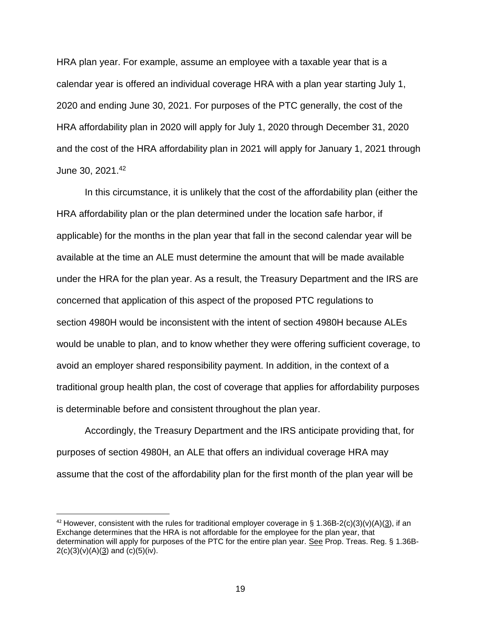HRA plan year. For example, assume an employee with a taxable year that is a calendar year is offered an individual coverage HRA with a plan year starting July 1, 2020 and ending June 30, 2021. For purposes of the PTC generally, the cost of the HRA affordability plan in 2020 will apply for July 1, 2020 through December 31, 2020 and the cost of the HRA affordability plan in 2021 will apply for January 1, 2021 through June 30, 2021.<sup>42</sup>

In this circumstance, it is unlikely that the cost of the affordability plan (either the HRA affordability plan or the plan determined under the location safe harbor, if applicable) for the months in the plan year that fall in the second calendar year will be available at the time an ALE must determine the amount that will be made available under the HRA for the plan year. As a result, the Treasury Department and the IRS are concerned that application of this aspect of the proposed PTC regulations to section 4980H would be inconsistent with the intent of section 4980H because ALEs would be unable to plan, and to know whether they were offering sufficient coverage, to avoid an employer shared responsibility payment. In addition, in the context of a traditional group health plan, the cost of coverage that applies for affordability purposes is determinable before and consistent throughout the plan year.

Accordingly, the Treasury Department and the IRS anticipate providing that, for purposes of section 4980H, an ALE that offers an individual coverage HRA may assume that the cost of the affordability plan for the first month of the plan year will be

l

<sup>&</sup>lt;sup>42</sup> However, consistent with the rules for traditional employer coverage in § 1.36B-2(c)(3)(v)(A)(3), if an Exchange determines that the HRA is not affordable for the employee for the plan year, that determination will apply for purposes of the PTC for the entire plan year. See Prop. Treas. Reg. § 1.36B- $2(c)(3)(v)(A)(3)$  and  $(c)(5)(iv)$ .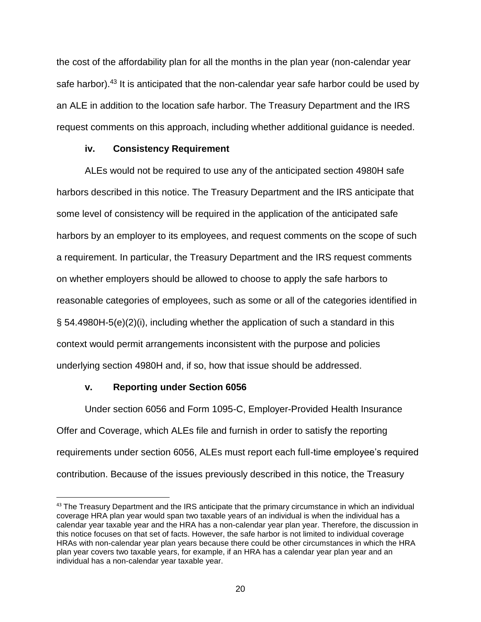the cost of the affordability plan for all the months in the plan year (non-calendar year safe harbor).<sup>43</sup> It is anticipated that the non-calendar year safe harbor could be used by an ALE in addition to the location safe harbor. The Treasury Department and the IRS request comments on this approach, including whether additional guidance is needed.

### **iv. Consistency Requirement**

ALEs would not be required to use any of the anticipated section 4980H safe harbors described in this notice. The Treasury Department and the IRS anticipate that some level of consistency will be required in the application of the anticipated safe harbors by an employer to its employees, and request comments on the scope of such a requirement. In particular, the Treasury Department and the IRS request comments on whether employers should be allowed to choose to apply the safe harbors to reasonable categories of employees, such as some or all of the categories identified in § 54.4980H-5(e)(2)(i), including whether the application of such a standard in this context would permit arrangements inconsistent with the purpose and policies underlying section 4980H and, if so, how that issue should be addressed.

# **v. Reporting under Section 6056**

 $\overline{\phantom{a}}$ 

Under section 6056 and Form 1095-C, Employer-Provided Health Insurance Offer and Coverage, which ALEs file and furnish in order to satisfy the reporting requirements under section 6056, ALEs must report each full-time employee's required contribution. Because of the issues previously described in this notice, the Treasury

<sup>&</sup>lt;sup>43</sup> The Treasury Department and the IRS anticipate that the primary circumstance in which an individual coverage HRA plan year would span two taxable years of an individual is when the individual has a calendar year taxable year and the HRA has a non-calendar year plan year. Therefore, the discussion in this notice focuses on that set of facts. However, the safe harbor is not limited to individual coverage HRAs with non-calendar year plan years because there could be other circumstances in which the HRA plan year covers two taxable years, for example, if an HRA has a calendar year plan year and an individual has a non-calendar year taxable year.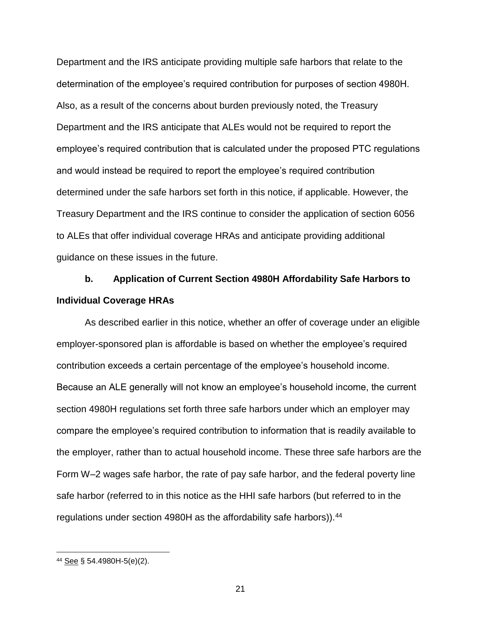Department and the IRS anticipate providing multiple safe harbors that relate to the determination of the employee's required contribution for purposes of section 4980H. Also, as a result of the concerns about burden previously noted, the Treasury Department and the IRS anticipate that ALEs would not be required to report the employee's required contribution that is calculated under the proposed PTC regulations and would instead be required to report the employee's required contribution determined under the safe harbors set forth in this notice, if applicable. However, the Treasury Department and the IRS continue to consider the application of section 6056 to ALEs that offer individual coverage HRAs and anticipate providing additional guidance on these issues in the future.

# **b. Application of Current Section 4980H Affordability Safe Harbors to Individual Coverage HRAs**

As described earlier in this notice, whether an offer of coverage under an eligible employer-sponsored plan is affordable is based on whether the employee's required contribution exceeds a certain percentage of the employee's household income. Because an ALE generally will not know an employee's household income, the current section 4980H regulations set forth three safe harbors under which an employer may compare the employee's required contribution to information that is readily available to the employer, rather than to actual household income. These three safe harbors are the Form W–2 wages safe harbor, the rate of pay safe harbor, and the federal poverty line safe harbor (referred to in this notice as the HHI safe harbors (but referred to in the regulations under section 4980H as the affordability safe harbors)).<sup>44</sup>

<sup>44</sup> See § 54.4980H-5(e)(2).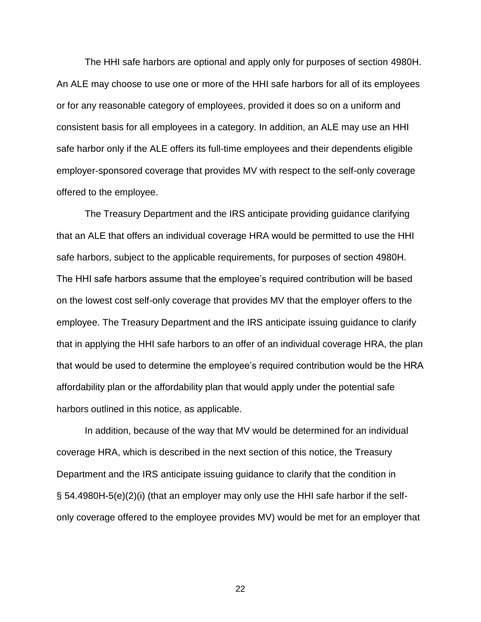The HHI safe harbors are optional and apply only for purposes of section 4980H. An ALE may choose to use one or more of the HHI safe harbors for all of its employees or for any reasonable category of employees, provided it does so on a uniform and consistent basis for all employees in a category. In addition, an ALE may use an HHI safe harbor only if the ALE offers its full-time employees and their dependents eligible employer-sponsored coverage that provides MV with respect to the self-only coverage offered to the employee.

The Treasury Department and the IRS anticipate providing guidance clarifying that an ALE that offers an individual coverage HRA would be permitted to use the HHI safe harbors, subject to the applicable requirements, for purposes of section 4980H. The HHI safe harbors assume that the employee's required contribution will be based on the lowest cost self-only coverage that provides MV that the employer offers to the employee. The Treasury Department and the IRS anticipate issuing guidance to clarify that in applying the HHI safe harbors to an offer of an individual coverage HRA, the plan that would be used to determine the employee's required contribution would be the HRA affordability plan or the affordability plan that would apply under the potential safe harbors outlined in this notice, as applicable.

In addition, because of the way that MV would be determined for an individual coverage HRA, which is described in the next section of this notice, the Treasury Department and the IRS anticipate issuing guidance to clarify that the condition in § 54.4980H-5(e)(2)(i) (that an employer may only use the HHI safe harbor if the selfonly coverage offered to the employee provides MV) would be met for an employer that

22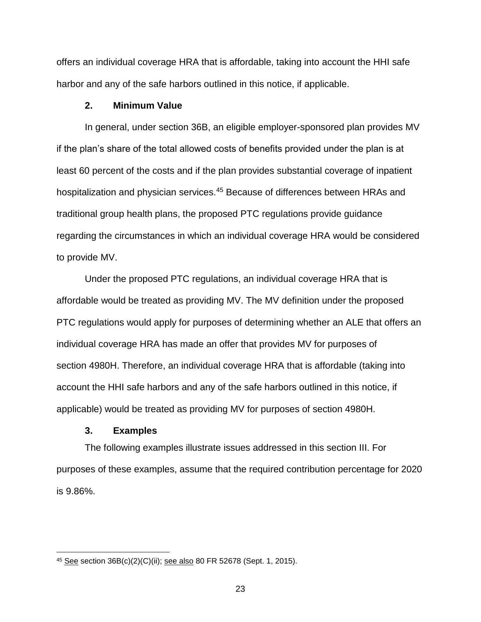offers an individual coverage HRA that is affordable, taking into account the HHI safe harbor and any of the safe harbors outlined in this notice, if applicable.

### **2. Minimum Value**

In general, under section 36B, an eligible employer-sponsored plan provides MV if the plan's share of the total allowed costs of benefits provided under the plan is at least 60 percent of the costs and if the plan provides substantial coverage of inpatient hospitalization and physician services.<sup>45</sup> Because of differences between HRAs and traditional group health plans, the proposed PTC regulations provide guidance regarding the circumstances in which an individual coverage HRA would be considered to provide MV.

Under the proposed PTC regulations, an individual coverage HRA that is affordable would be treated as providing MV. The MV definition under the proposed PTC regulations would apply for purposes of determining whether an ALE that offers an individual coverage HRA has made an offer that provides MV for purposes of section 4980H. Therefore, an individual coverage HRA that is affordable (taking into account the HHI safe harbors and any of the safe harbors outlined in this notice, if applicable) would be treated as providing MV for purposes of section 4980H.

#### **3. Examples**

 $\overline{\phantom{a}}$ 

The following examples illustrate issues addressed in this section III. For purposes of these examples, assume that the required contribution percentage for 2020 is 9.86%.

<sup>45</sup> See section 36B(c)(2)(C)(ii); see also 80 FR 52678 (Sept. 1, 2015).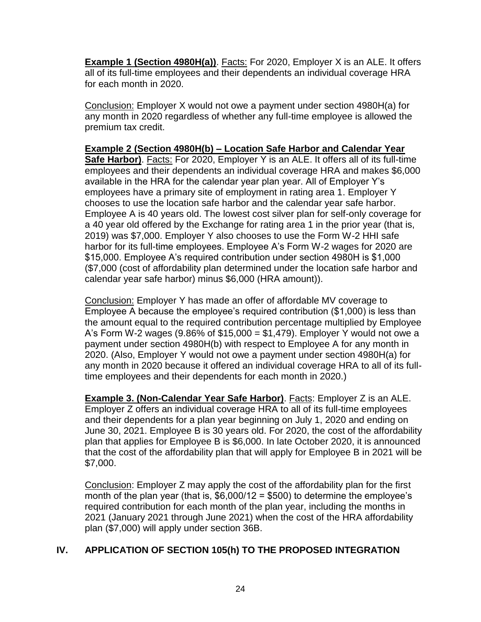**Example 1 (Section 4980H(a))**. Facts: For 2020, Employer X is an ALE. It offers all of its full-time employees and their dependents an individual coverage HRA for each month in 2020.

Conclusion: Employer X would not owe a payment under section 4980H(a) for any month in 2020 regardless of whether any full-time employee is allowed the premium tax credit.

**Example 2 (Section 4980H(b) – Location Safe Harbor and Calendar Year Safe Harbor)**. Facts: For 2020, Employer Y is an ALE. It offers all of its full-time employees and their dependents an individual coverage HRA and makes \$6,000 available in the HRA for the calendar year plan year. All of Employer Y's employees have a primary site of employment in rating area 1. Employer Y chooses to use the location safe harbor and the calendar year safe harbor. Employee A is 40 years old. The lowest cost silver plan for self-only coverage for a 40 year old offered by the Exchange for rating area 1 in the prior year (that is, 2019) was \$7,000. Employer Y also chooses to use the Form W-2 HHI safe harbor for its full-time employees. Employee A's Form W-2 wages for 2020 are \$15,000. Employee A's required contribution under section 4980H is \$1,000 (\$7,000 (cost of affordability plan determined under the location safe harbor and calendar year safe harbor) minus \$6,000 (HRA amount)).

Conclusion: Employer Y has made an offer of affordable MV coverage to Employee A because the employee's required contribution (\$1,000) is less than the amount equal to the required contribution percentage multiplied by Employee A's Form W-2 wages  $(9.86\% \text{ of } $15,000 = $1,479)$ . Employer Y would not owe a payment under section 4980H(b) with respect to Employee A for any month in 2020. (Also, Employer Y would not owe a payment under section 4980H(a) for any month in 2020 because it offered an individual coverage HRA to all of its fulltime employees and their dependents for each month in 2020.)

**Example 3. (Non-Calendar Year Safe Harbor)**. Facts: Employer Z is an ALE. Employer Z offers an individual coverage HRA to all of its full-time employees and their dependents for a plan year beginning on July 1, 2020 and ending on June 30, 2021. Employee B is 30 years old. For 2020, the cost of the affordability plan that applies for Employee B is \$6,000. In late October 2020, it is announced that the cost of the affordability plan that will apply for Employee B in 2021 will be \$7,000.

Conclusion: Employer Z may apply the cost of the affordability plan for the first month of the plan year (that is,  $$6,000/12 = $500$ ) to determine the employee's required contribution for each month of the plan year, including the months in 2021 (January 2021 through June 2021) when the cost of the HRA affordability plan (\$7,000) will apply under section 36B.

# **IV. APPLICATION OF SECTION 105(h) TO THE PROPOSED INTEGRATION**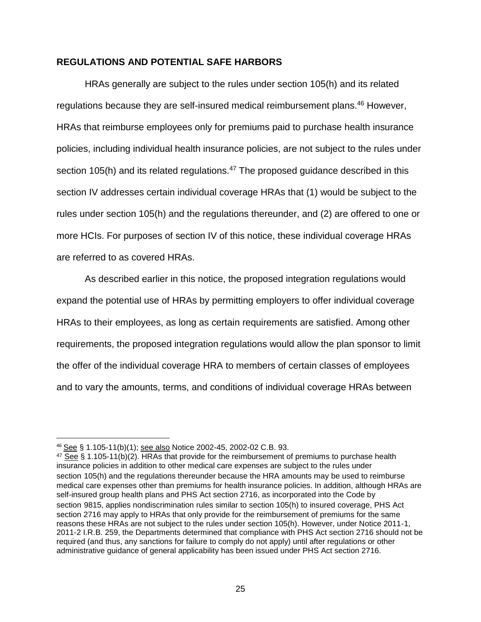### **REGULATIONS AND POTENTIAL SAFE HARBORS**

HRAs generally are subject to the rules under section 105(h) and its related regulations because they are self-insured medical reimbursement plans.<sup>46</sup> However, HRAs that reimburse employees only for premiums paid to purchase health insurance policies, including individual health insurance policies, are not subject to the rules under section 105(h) and its related regulations.<sup>47</sup> The proposed guidance described in this section IV addresses certain individual coverage HRAs that (1) would be subject to the rules under section 105(h) and the regulations thereunder, and (2) are offered to one or more HCIs. For purposes of section IV of this notice, these individual coverage HRAs are referred to as covered HRAs.

As described earlier in this notice, the proposed integration regulations would expand the potential use of HRAs by permitting employers to offer individual coverage HRAs to their employees, as long as certain requirements are satisfied. Among other requirements, the proposed integration regulations would allow the plan sponsor to limit the offer of the individual coverage HRA to members of certain classes of employees and to vary the amounts, terms, and conditions of individual coverage HRAs between

<sup>46</sup> See § 1.105-11(b)(1); see also Notice 2002-45, 2002-02 C.B. 93.

 $47$  See § 1.105-11(b)(2). HRAs that provide for the reimbursement of premiums to purchase health insurance policies in addition to other medical care expenses are subject to the rules under section 105(h) and the regulations thereunder because the HRA amounts may be used to reimburse medical care expenses other than premiums for health insurance policies. In addition, although HRAs are self-insured group health plans and PHS Act section 2716, as incorporated into the Code by section 9815, applies nondiscrimination rules similar to section 105(h) to insured coverage, PHS Act section 2716 may apply to HRAs that only provide for the reimbursement of premiums for the same reasons these HRAs are not subject to the rules under section 105(h). However, under Notice 2011-1, 2011-2 I.R.B. 259, the Departments determined that compliance with PHS Act section 2716 should not be required (and thus, any sanctions for failure to comply do not apply) until after regulations or other administrative guidance of general applicability has been issued under PHS Act section 2716.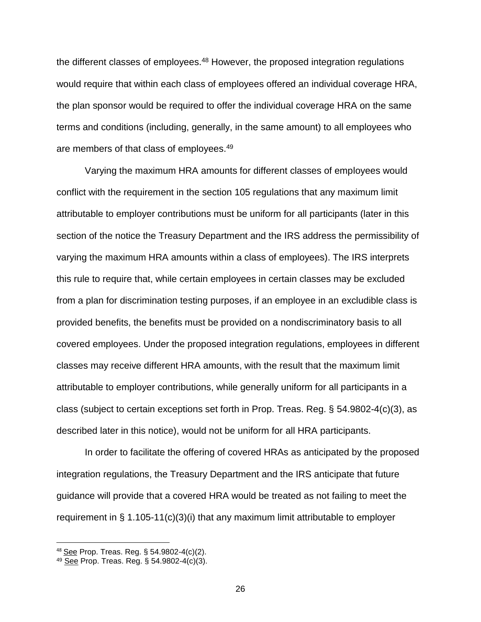the different classes of employees.<sup>48</sup> However, the proposed integration regulations would require that within each class of employees offered an individual coverage HRA, the plan sponsor would be required to offer the individual coverage HRA on the same terms and conditions (including, generally, in the same amount) to all employees who are members of that class of employees.<sup>49</sup>

Varying the maximum HRA amounts for different classes of employees would conflict with the requirement in the section 105 regulations that any maximum limit attributable to employer contributions must be uniform for all participants (later in this section of the notice the Treasury Department and the IRS address the permissibility of varying the maximum HRA amounts within a class of employees). The IRS interprets this rule to require that, while certain employees in certain classes may be excluded from a plan for discrimination testing purposes, if an employee in an excludible class is provided benefits, the benefits must be provided on a nondiscriminatory basis to all covered employees. Under the proposed integration regulations, employees in different classes may receive different HRA amounts, with the result that the maximum limit attributable to employer contributions, while generally uniform for all participants in a class (subject to certain exceptions set forth in Prop. Treas. Reg. § 54.9802-4(c)(3), as described later in this notice), would not be uniform for all HRA participants.

In order to facilitate the offering of covered HRAs as anticipated by the proposed integration regulations, the Treasury Department and the IRS anticipate that future guidance will provide that a covered HRA would be treated as not failing to meet the requirement in § 1.105-11(c)(3)(i) that any maximum limit attributable to employer

l

<sup>48</sup> See Prop. Treas. Reg. § 54.9802-4(c)(2).

<sup>49</sup> See Prop. Treas. Reg. § 54.9802-4(c)(3).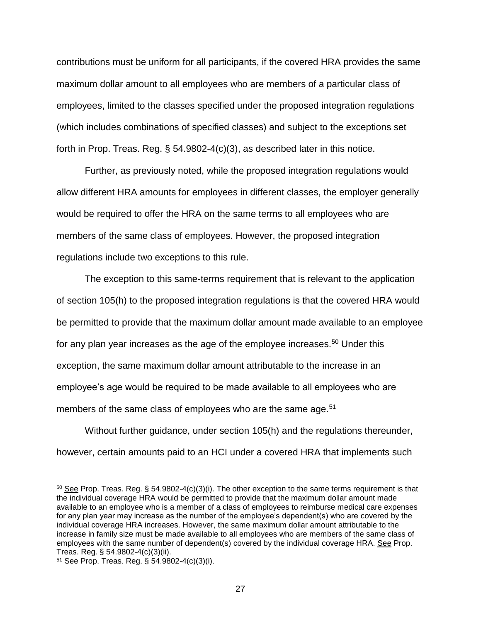contributions must be uniform for all participants, if the covered HRA provides the same maximum dollar amount to all employees who are members of a particular class of employees, limited to the classes specified under the proposed integration regulations (which includes combinations of specified classes) and subject to the exceptions set forth in Prop. Treas. Reg. § 54.9802-4(c)(3), as described later in this notice.

Further, as previously noted, while the proposed integration regulations would allow different HRA amounts for employees in different classes, the employer generally would be required to offer the HRA on the same terms to all employees who are members of the same class of employees. However, the proposed integration regulations include two exceptions to this rule.

The exception to this same-terms requirement that is relevant to the application of section 105(h) to the proposed integration regulations is that the covered HRA would be permitted to provide that the maximum dollar amount made available to an employee for any plan year increases as the age of the employee increases.<sup>50</sup> Under this exception, the same maximum dollar amount attributable to the increase in an employee's age would be required to be made available to all employees who are members of the same class of employees who are the same age.<sup>51</sup>

Without further guidance, under section 105(h) and the regulations thereunder, however, certain amounts paid to an HCI under a covered HRA that implements such

<sup>50</sup> See Prop. Treas. Reg. § 54.9802-4(c)(3)(i). The other exception to the same terms requirement is that the individual coverage HRA would be permitted to provide that the maximum dollar amount made available to an employee who is a member of a class of employees to reimburse medical care expenses for any plan year may increase as the number of the employee's dependent(s) who are covered by the individual coverage HRA increases. However, the same maximum dollar amount attributable to the increase in family size must be made available to all employees who are members of the same class of employees with the same number of dependent(s) covered by the individual coverage HRA. See Prop. Treas. Reg. § 54.9802-4(c)(3)(ii).

<sup>51</sup> See Prop. Treas. Reg. § 54.9802-4(c)(3)(i).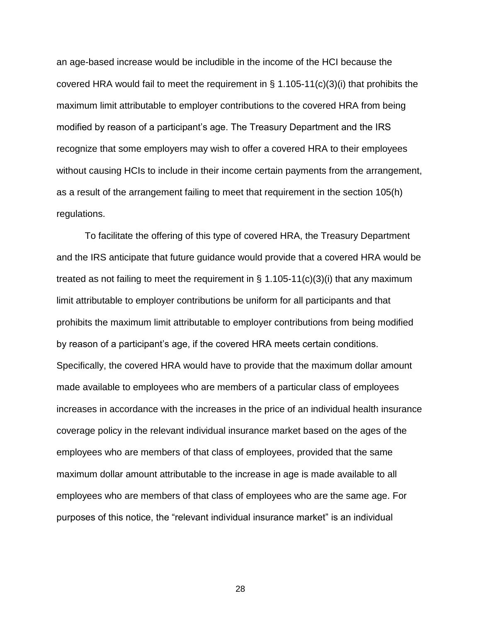an age-based increase would be includible in the income of the HCI because the covered HRA would fail to meet the requirement in § 1.105-11(c)(3)(i) that prohibits the maximum limit attributable to employer contributions to the covered HRA from being modified by reason of a participant's age. The Treasury Department and the IRS recognize that some employers may wish to offer a covered HRA to their employees without causing HCIs to include in their income certain payments from the arrangement, as a result of the arrangement failing to meet that requirement in the section 105(h) regulations.

To facilitate the offering of this type of covered HRA, the Treasury Department and the IRS anticipate that future guidance would provide that a covered HRA would be treated as not failing to meet the requirement in  $\S$  1.105-11(c)(3)(i) that any maximum limit attributable to employer contributions be uniform for all participants and that prohibits the maximum limit attributable to employer contributions from being modified by reason of a participant's age, if the covered HRA meets certain conditions. Specifically, the covered HRA would have to provide that the maximum dollar amount made available to employees who are members of a particular class of employees increases in accordance with the increases in the price of an individual health insurance coverage policy in the relevant individual insurance market based on the ages of the employees who are members of that class of employees, provided that the same maximum dollar amount attributable to the increase in age is made available to all employees who are members of that class of employees who are the same age. For purposes of this notice, the "relevant individual insurance market" is an individual

28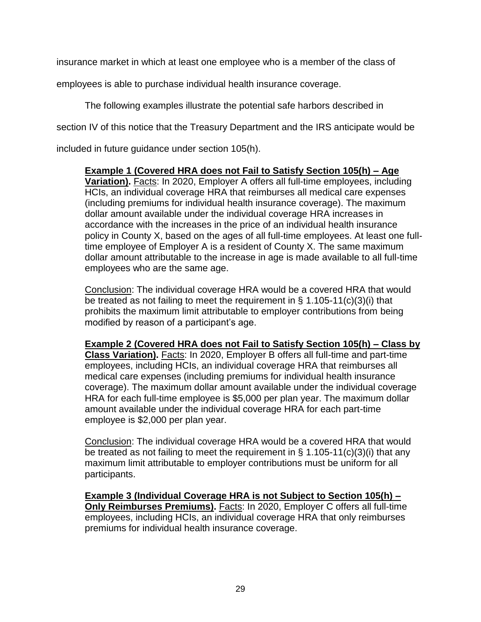insurance market in which at least one employee who is a member of the class of

employees is able to purchase individual health insurance coverage.

The following examples illustrate the potential safe harbors described in section IV of this notice that the Treasury Department and the IRS anticipate would be

included in future guidance under section 105(h).

**Example 1 (Covered HRA does not Fail to Satisfy Section 105(h) – Age Variation).** Facts: In 2020, Employer A offers all full-time employees, including HCIs, an individual coverage HRA that reimburses all medical care expenses (including premiums for individual health insurance coverage). The maximum dollar amount available under the individual coverage HRA increases in accordance with the increases in the price of an individual health insurance policy in County X, based on the ages of all full-time employees. At least one fulltime employee of Employer A is a resident of County X. The same maximum dollar amount attributable to the increase in age is made available to all full-time employees who are the same age.

Conclusion: The individual coverage HRA would be a covered HRA that would be treated as not failing to meet the requirement in § 1.105-11(c)(3)(i) that prohibits the maximum limit attributable to employer contributions from being modified by reason of a participant's age.

**Example 2 (Covered HRA does not Fail to Satisfy Section 105(h) – Class by Class Variation).** Facts: In 2020, Employer B offers all full-time and part-time employees, including HCIs, an individual coverage HRA that reimburses all medical care expenses (including premiums for individual health insurance coverage). The maximum dollar amount available under the individual coverage HRA for each full-time employee is \$5,000 per plan year. The maximum dollar amount available under the individual coverage HRA for each part-time employee is \$2,000 per plan year.

Conclusion: The individual coverage HRA would be a covered HRA that would be treated as not failing to meet the requirement in § 1.105-11(c)(3)(i) that any maximum limit attributable to employer contributions must be uniform for all participants.

**Example 3 (Individual Coverage HRA is not Subject to Section 105(h) – Only Reimburses Premiums).** Facts: In 2020, Employer C offers all full-time employees, including HCIs, an individual coverage HRA that only reimburses premiums for individual health insurance coverage.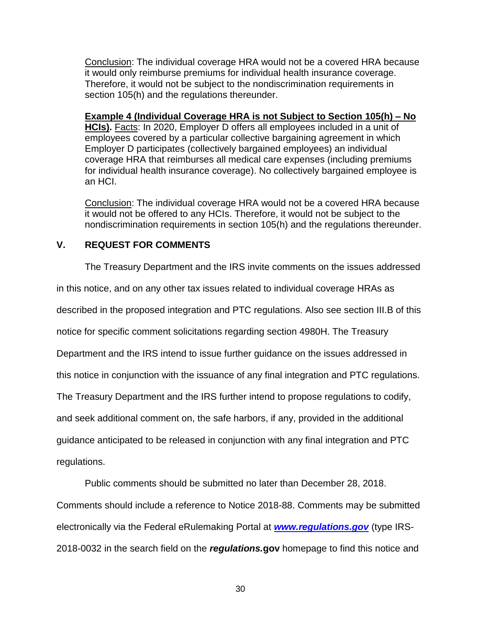Conclusion: The individual coverage HRA would not be a covered HRA because it would only reimburse premiums for individual health insurance coverage. Therefore, it would not be subject to the nondiscrimination requirements in section 105(h) and the regulations thereunder.

**Example 4 (Individual Coverage HRA is not Subject to Section 105(h) – No** 

**HCIs).** Facts: In 2020, Employer D offers all employees included in a unit of employees covered by a particular collective bargaining agreement in which Employer D participates (collectively bargained employees) an individual coverage HRA that reimburses all medical care expenses (including premiums for individual health insurance coverage). No collectively bargained employee is an HCI.

Conclusion: The individual coverage HRA would not be a covered HRA because it would not be offered to any HCIs. Therefore, it would not be subject to the nondiscrimination requirements in section 105(h) and the regulations thereunder.

# **V. REQUEST FOR COMMENTS**

The Treasury Department and the IRS invite comments on the issues addressed

in this notice, and on any other tax issues related to individual coverage HRAs as

described in the proposed integration and PTC regulations. Also see section III.B of this

notice for specific comment solicitations regarding section 4980H. The Treasury

Department and the IRS intend to issue further guidance on the issues addressed in

this notice in conjunction with the issuance of any final integration and PTC regulations.

The Treasury Department and the IRS further intend to propose regulations to codify,

and seek additional comment on, the safe harbors, if any, provided in the additional

guidance anticipated to be released in conjunction with any final integration and PTC

regulations.

Public comments should be submitted no later than December 28, 2018.

Comments should include a reference to Notice 2018-88. Comments may be submitted electronically via the Federal eRulemaking Portal at *[www.regulations.gov](http://www.regulations.gov/)* (type IRS-

2018-0032 in the search field on the *regulations.***gov** homepage to find this notice and